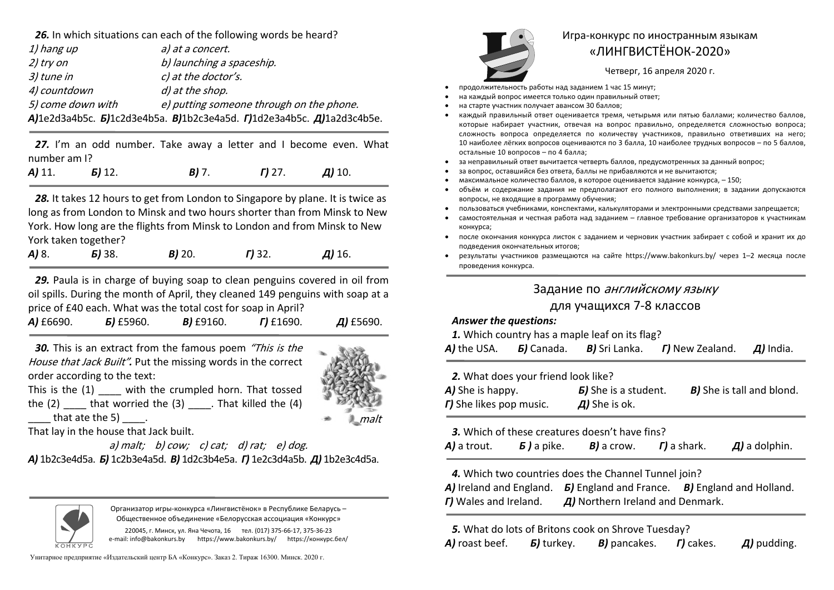*26.* In which situations can each of the following words be heard?

| a) at a concert.                                                                     |
|--------------------------------------------------------------------------------------|
| b) launching a spaceship.                                                            |
| c) at the doctor's.                                                                  |
| d) at the shop.                                                                      |
| e) putting someone through on the phone.                                             |
| $A$ ]1e2d3a4b5c. $B$ ]1c2d3e4b5a. $B$ ]1b2c3e4a5d. $I$ ]1d2e3a4b5c. $A$ ]1a2d3c4b5e. |
|                                                                                      |

27. I'm an odd number. Take away a letter and I become even. What number am I?

*А)* 11. *Б)* 12. *В)* 7. *Г)* 27. *Д)* 10.

*28.* It takes 12 hours to get from London to Singapore by plane. It is twice as long as from London to Minsk and two hours shorter than from Minsk to New York. How long are the flights from Minsk to London and from Minsk to New York taken together?

| $A)$ 8. | <b>5)</b> 38. | $B$ ) 20. | $T$ ) 32. | $\mu$ ) 16. |
|---------|---------------|-----------|-----------|-------------|
|         |               |           |           |             |

*29.* Paula is in charge of buying soap to clean penguins covered in oil from oil spills. During the month of April, they cleaned 149 penguins with soap at a price of £40 each. What was the total cost for soap in April?

| A) £6690. | $5$ ) £5960. | B) £9160. | $\Gamma$ ) £1690. | $\mu$ ) £5690. |
|-----------|--------------|-----------|-------------------|----------------|
|-----------|--------------|-----------|-------------------|----------------|

*30.* This is an extract from the famous poem "This is the House that Jack Built"*.* Put the missing words in the correct order according to the text:



This is the (1) with the crumpled horn. That tossed the  $(2)$  that worried the  $(3)$  That killed the  $(4)$ that ate the  $5$ )  $\qquad$ .

That lay in the house that Jack built.

a) malt; b) cow; c) cat; d) rat; e) dog. *А)* 1b2c3e4d5a. *Б)* 1c2b3e4a5d. *В)* 1d2c3b4e5a. *Г)* 1e2c3d4a5b. *Д)* 1b2e3c4d5a.



Организатор игры-конкурса «Лингвистёнок» <sup>в</sup> Республике Беларусь – Общественное объединение «Белорусская ассоциация «Конкурс»

220045, <sup>г</sup>. Минск, ул. Яна Чечота, 16 тел. (017) 375-66-17, 375-36-23 e-mail: info@bakonkurs.by https://www.bakonkurs.by/ https://конкурс.бел/

Унитарное предприятие «Издательский центр БА «Конкурс». Заказ 2. Тираж 16300. Минск. 2020 <sup>г</sup>.



## Игра-конкурс по иностранным языкам «ЛИНГВИСТЁНОК-2020»

Четверг, 16 апреля 2020 г.

- . продолжительность работы над заданием 1 час 15 минут;
- . на каждый вопрос имеется только один правильный ответ;
- . на старте участник получает авансом 30 баллов;
- . каждый правильный ответ оценивается тремя, четырьмя или пятью баллами; количество баллов, которые набирает участник, отвечая на вопрос правильно, определяется сложностью вопроса; сложность вопроса определяется по количеству участников, правильно ответивших на него; 10 наиболее лёгких вопросов оцениваются по 3 балла, 10 наиболее трудных вопросов – по 5 баллов, остальные 10 вопросов – по 4 балла;
- . за неправильный ответ вычитается четверть баллов, предусмотренных за данный вопрос;
- . за вопрос, оставшийся без ответа, баллы не прибавляются <sup>и</sup> не вычитаются;
- ۰ максимальное количество баллов, <sup>в</sup> которое оценивается задание конкурса, – 150;
- ۰ объём и содержание задания не предполагают его полного выполнения; в задании допускаются вопросы, не входящие <sup>в</sup> программу обучения;
- $\bullet$ пользоваться учебниками, конспектами, калькуляторами <sup>и</sup> электронными средствами запрещается;
- . самостоятельная и честная работа над заданием – главное требование организаторов <sup>к</sup> участникам конкурса;
- . после окончания конкурса листок <sup>с</sup> заданием <sup>и</sup> черновик участник забирает <sup>с</sup> собой <sup>и</sup> хранит их до подведения окончательных итогов;
- . результаты участников размещаются на сайте https://www.bakonkurs.by/ через 1–2 месяца после проведения конкурса.

## Задание по английскому языку

## для учащихся 7-8 классов

## *Answer the questions:*

*1.* Which country has a maple leaf on its flag?

| A) the USA. | <b><i>b</i></b> ) Canada. | <b>B)</b> Sri Lanka. | <b>r)</b> New Zealand. | $\overline{A}$ ) India. |
|-------------|---------------------------|----------------------|------------------------|-------------------------|
|-------------|---------------------------|----------------------|------------------------|-------------------------|

| 2. What does your friend look like?    |                                     |                                  |  |  |
|----------------------------------------|-------------------------------------|----------------------------------|--|--|
| <b>A)</b> She is happy.                | <b><i>B</i></b> ) She is a student. | <b>B)</b> She is tall and blond. |  |  |
| <b><i>r</i></b> ) She likes pop music. | $\overline{A}$ ) She is ok.         |                                  |  |  |

*3.* Which of these creatures doesn't have fins?

| A) a trout. | $\bm{5}$ ) a pike. | $B$ ) a crow. | $\Gamma$ ) a shark. | $\overline{A}$ ) a dolphin. |
|-------------|--------------------|---------------|---------------------|-----------------------------|
|             |                    |               |                     |                             |

*4.* Which two countries does the Channel Tunnel join?

*А)* Ireland and England. *Б)* England and France. *В)* England and Holland. *Г)* Wales and Ireland. *Д)* Northern Ireland and Denmark.

*5.* What do lots of Britons cook on Shrove Tuesday?

*А)* roast beef. *Б)* turkey. *В)* pancakes. *Г)* cakes. *Д)* pudding.